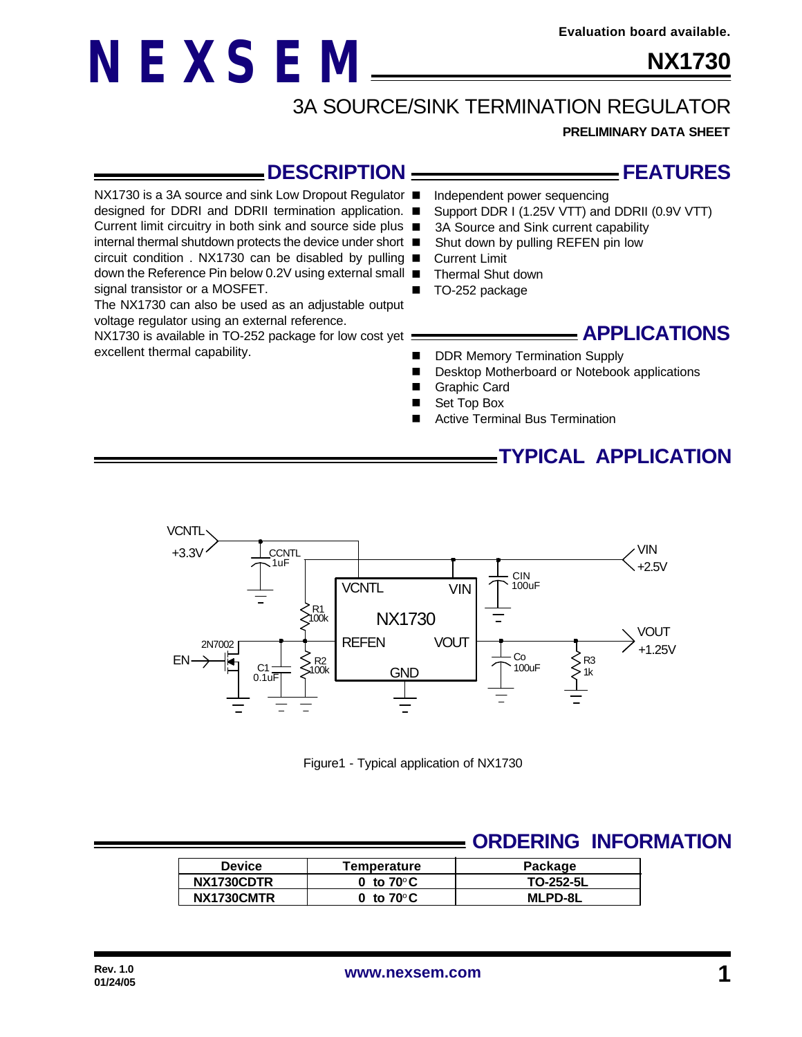## **NX1730**

## 3A SOURCE/SINK TERMINATION REGULATOR

**PRELIMINARY DATA SHEET**

#### **\_DESCRIPTION \_**

NX1730 is a 3A source and sink Low Dropout Regulator ■

**NEXSEM**

designed for DDRI and DDRII termination application. ■

Current limit circuitry in both sink and source side plus ■

internal thermal shutdown protects the device under short circuit condition . NX1730 can be disabled by pulling

down the Reference Pin below 0.2V using external small ■ signal transistor or a MOSFET.

The NX1730 can also be used as an adjustable output voltage regulator using an external reference.

NX1730 is available in TO-252 package for low cost yet : excellent thermal capability.

# —— FEATURES

- Independent power sequencing
- Support DDR I (1.25V VTT) and DDRII (0.9V VTT)
- 3A Source and Sink current capability
- Shut down by pulling REFEN pin low
- **Current Limit**
- Thermal Shut down
- TO-252 package

#### **APPLICATIONS**

- DDR Memory Termination Supply
- Desktop Motherboard or Notebook applications
- Graphic Card
- Set Top Box
- Active Terminal Bus Termination

#### **TYPICAL APPLICATION**



Figure1 - Typical application of NX1730

#### **ORDERING INFORMATION**

| <b>Device</b> | Temperature         | Package        |  |  |
|---------------|---------------------|----------------|--|--|
| NX1730CDTR    | 0 to $70^{\circ}$ C | TO-252-5L      |  |  |
| NX1730CMTR    | 0 to $70^{\circ}$ C | <b>MLPD-8L</b> |  |  |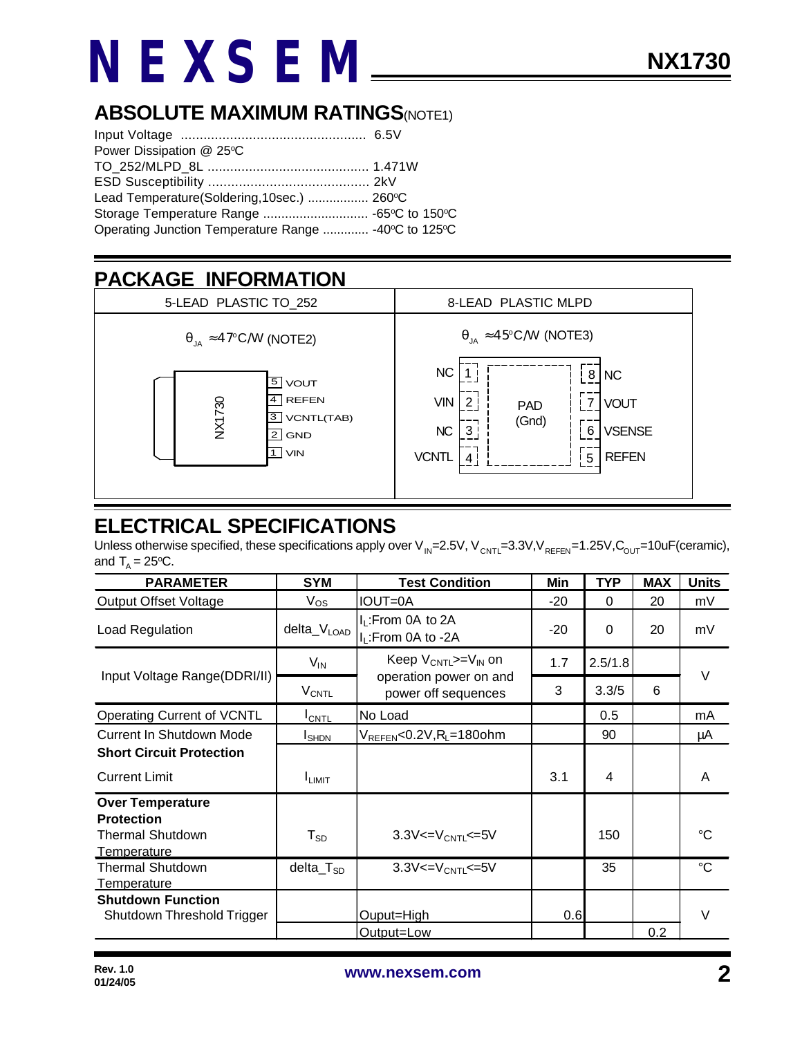# **NEXSEM**

#### **ABSOLUTE MAXIMUM RATINGS(NOTE1)**

| Power Dissipation @ 25°C                             |  |  |  |
|------------------------------------------------------|--|--|--|
|                                                      |  |  |  |
|                                                      |  |  |  |
| Lead Temperature(Soldering, 10sec.)  260°C           |  |  |  |
|                                                      |  |  |  |
| Operating Junction Temperature Range  -40°C to 125°C |  |  |  |

## **PACKAGE INFORMATION**



### **ELECTRICAL SPECIFICATIONS**

Unless otherwise specified, these specifications apply over V<sub>IN</sub>=2.5V, V<sub>CNTL</sub>=3.3V,V<sub>REFEN</sub>=1.25V,C<sub>OUT</sub>=10uF(ceramic), and  $T_{A} = 25$ °C.

| <b>PARAMETER</b>                                                                              | <b>SYM</b>              | <b>Test Condition</b>                                                       | Min   | <b>TYP</b> | <b>MAX</b> | <b>Units</b>    |
|-----------------------------------------------------------------------------------------------|-------------------------|-----------------------------------------------------------------------------|-------|------------|------------|-----------------|
| <b>Output Offset Voltage</b>                                                                  | $V_{OS}$                | <b>IOUT=0A</b>                                                              | $-20$ | $\Omega$   | 20         | mV              |
| Load Regulation                                                                               | delta_V <sub>LOAD</sub> | $I_L$ : From 0A to 2A<br>I <sub>L</sub> :From 0A to -2A                     | $-20$ | $\Omega$   | 20         | mV              |
| Input Voltage Range(DDRI/II)                                                                  | $V_{IN}$                | Keep $V_{CNTL}>=V_{IN}$ on<br>operation power on and<br>power off sequences | 1.7   | 2.5/1.8    |            | $\vee$          |
|                                                                                               | <b>V<sub>CNTL</sub></b> |                                                                             | 3     | 3.3/5      | 6          |                 |
| Operating Current of VCNTL                                                                    | $I_{\text{CNTL}}$       | No Load                                                                     |       | 0.5        |            | mA              |
| Current In Shutdown Mode                                                                      | <b>I</b> SHDN           | $V_{REFEN} < 0.2V, R_L = 180$ ohm                                           |       | 90         |            | μA              |
| <b>Short Circuit Protection</b>                                                               |                         |                                                                             |       |            |            |                 |
| <b>Current Limit</b>                                                                          | <b>I</b> LIMIT          |                                                                             | 3.1   | 4          |            | A               |
| <b>Over Temperature</b><br><b>Protection</b><br><b>Thermal Shutdown</b><br><b>Temperature</b> | ${\sf T}_{\texttt{SD}}$ | $3.3V < = V_{CNTL} \le 5V$                                                  |       | 150        |            | ℃               |
| <b>Thermal Shutdown</b><br>Temperature                                                        | $dela_TSD$              | $3.3V < = V_{CNTL} < = 5V$                                                  |       | 35         |            | $\rm ^{\circ}C$ |
| <b>Shutdown Function</b><br>Shutdown Threshold Trigger                                        |                         | Ouput=High                                                                  | 0.6   |            |            | V               |
|                                                                                               |                         | Output=Low                                                                  |       |            | 0.2        |                 |